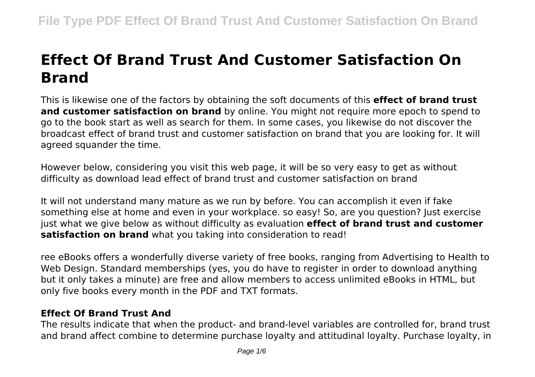# **Effect Of Brand Trust And Customer Satisfaction On Brand**

This is likewise one of the factors by obtaining the soft documents of this **effect of brand trust and customer satisfaction on brand** by online. You might not require more epoch to spend to go to the book start as well as search for them. In some cases, you likewise do not discover the broadcast effect of brand trust and customer satisfaction on brand that you are looking for. It will agreed squander the time.

However below, considering you visit this web page, it will be so very easy to get as without difficulty as download lead effect of brand trust and customer satisfaction on brand

It will not understand many mature as we run by before. You can accomplish it even if fake something else at home and even in your workplace. so easy! So, are you question? Just exercise just what we give below as without difficulty as evaluation **effect of brand trust and customer satisfaction on brand** what you taking into consideration to read!

ree eBooks offers a wonderfully diverse variety of free books, ranging from Advertising to Health to Web Design. Standard memberships (yes, you do have to register in order to download anything but it only takes a minute) are free and allow members to access unlimited eBooks in HTML, but only five books every month in the PDF and TXT formats.

## **Effect Of Brand Trust And**

The results indicate that when the product- and brand-level variables are controlled for, brand trust and brand affect combine to determine purchase loyalty and attitudinal loyalty. Purchase loyalty, in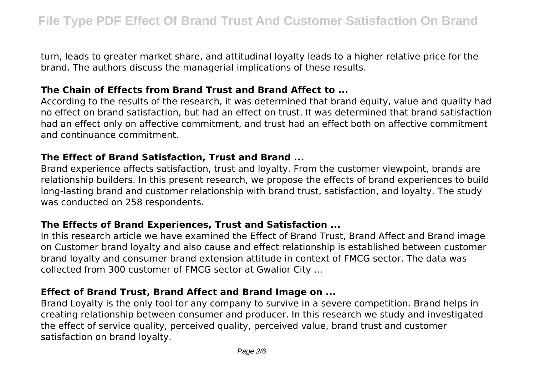turn, leads to greater market share, and attitudinal loyalty leads to a higher relative price for the brand. The authors discuss the managerial implications of these results.

#### **The Chain of Effects from Brand Trust and Brand Affect to ...**

According to the results of the research, it was determined that brand equity, value and quality had no effect on brand satisfaction, but had an effect on trust. It was determined that brand satisfaction had an effect only on affective commitment, and trust had an effect both on affective commitment and continuance commitment.

#### **The Effect of Brand Satisfaction, Trust and Brand ...**

Brand experience affects satisfaction, trust and loyalty. From the customer viewpoint, brands are relationship builders. In this present research, we propose the effects of brand experiences to build long-lasting brand and customer relationship with brand trust, satisfaction, and loyalty. The study was conducted on 258 respondents.

## **The Effects of Brand Experiences, Trust and Satisfaction ...**

In this research article we have examined the Effect of Brand Trust, Brand Affect and Brand image on Customer brand loyalty and also cause and effect relationship is established between customer brand loyalty and consumer brand extension attitude in context of FMCG sector. The data was collected from 300 customer of FMCG sector at Gwalior City ...

## **Effect of Brand Trust, Brand Affect and Brand Image on ...**

Brand Loyalty is the only tool for any company to survive in a severe competition. Brand helps in creating relationship between consumer and producer. In this research we study and investigated the effect of service quality, perceived quality, perceived value, brand trust and customer satisfaction on brand loyalty.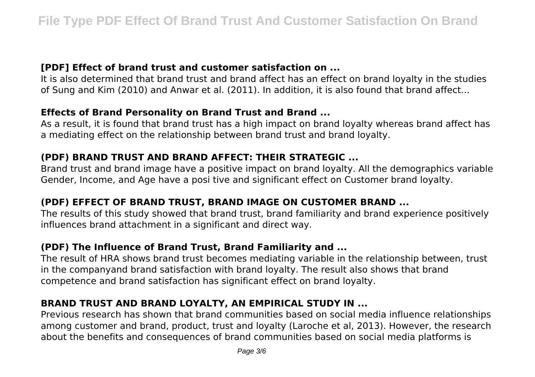#### **[PDF] Effect of brand trust and customer satisfaction on ...**

It is also determined that brand trust and brand affect has an effect on brand loyalty in the studies of Sung and Kim (2010) and Anwar et al. (2011). In addition, it is also found that brand affect...

## **Effects of Brand Personality on Brand Trust and Brand ...**

As a result, it is found that brand trust has a high impact on brand loyalty whereas brand affect has a mediating effect on the relationship between brand trust and brand loyalty.

## **(PDF) BRAND TRUST AND BRAND AFFECT: THEIR STRATEGIC ...**

Brand trust and brand image have a positive impact on brand loyalty. All the demographics variable Gender, Income, and Age have a posi tive and significant effect on Customer brand loyalty.

## **(PDF) EFFECT OF BRAND TRUST, BRAND IMAGE ON CUSTOMER BRAND ...**

The results of this study showed that brand trust, brand familiarity and brand experience positively influences brand attachment in a significant and direct way.

## **(PDF) The Influence of Brand Trust, Brand Familiarity and ...**

The result of HRA shows brand trust becomes mediating variable in the relationship between, trust in the companyand brand satisfaction with brand loyalty. The result also shows that brand competence and brand satisfaction has significant effect on brand loyalty.

## **BRAND TRUST AND BRAND LOYALTY, AN EMPIRICAL STUDY IN ...**

Previous research has shown that brand communities based on social media influence relationships among customer and brand, product, trust and loyalty (Laroche et al, 2013). However, the research about the benefits and consequences of brand communities based on social media platforms is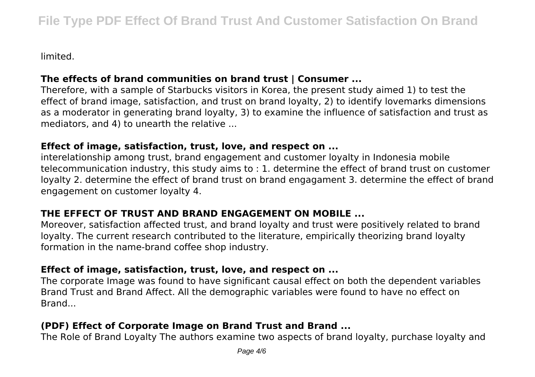limited.

## **The effects of brand communities on brand trust | Consumer ...**

Therefore, with a sample of Starbucks visitors in Korea, the present study aimed 1) to test the effect of brand image, satisfaction, and trust on brand loyalty, 2) to identify lovemarks dimensions as a moderator in generating brand loyalty, 3) to examine the influence of satisfaction and trust as mediators, and 4) to unearth the relative ...

#### **Effect of image, satisfaction, trust, love, and respect on ...**

interelationship among trust, brand engagement and customer loyalty in Indonesia mobile telecommunication industry, this study aims to : 1. determine the effect of brand trust on customer loyalty 2. determine the effect of brand trust on brand engagament 3. determine the effect of brand engagement on customer loyalty 4.

## **THE EFFECT OF TRUST AND BRAND ENGAGEMENT ON MOBILE ...**

Moreover, satisfaction affected trust, and brand loyalty and trust were positively related to brand loyalty. The current research contributed to the literature, empirically theorizing brand loyalty formation in the name-brand coffee shop industry.

## **Effect of image, satisfaction, trust, love, and respect on ...**

The corporate Image was found to have significant causal effect on both the dependent variables Brand Trust and Brand Affect. All the demographic variables were found to have no effect on Brand...

## **(PDF) Effect of Corporate Image on Brand Trust and Brand ...**

The Role of Brand Loyalty The authors examine two aspects of brand loyalty, purchase loyalty and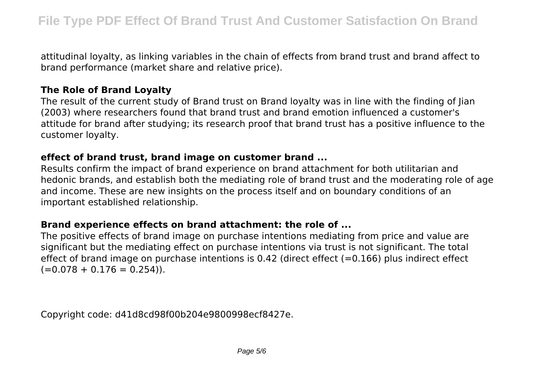attitudinal loyalty, as linking variables in the chain of effects from brand trust and brand affect to brand performance (market share and relative price).

## **The Role of Brand Loyalty**

The result of the current study of Brand trust on Brand loyalty was in line with the finding of Jian (2003) where researchers found that brand trust and brand emotion influenced a customer's attitude for brand after studying; its research proof that brand trust has a positive influence to the customer loyalty.

#### **effect of brand trust, brand image on customer brand ...**

Results confirm the impact of brand experience on brand attachment for both utilitarian and hedonic brands, and establish both the mediating role of brand trust and the moderating role of age and income. These are new insights on the process itself and on boundary conditions of an important established relationship.

## **Brand experience effects on brand attachment: the role of ...**

The positive effects of brand image on purchase intentions mediating from price and value are significant but the mediating effect on purchase intentions via trust is not significant. The total effect of brand image on purchase intentions is 0.42 (direct effect  $(=0.166)$  plus indirect effect  $(=0.078 + 0.176 = 0.254)$ .

Copyright code: d41d8cd98f00b204e9800998ecf8427e.